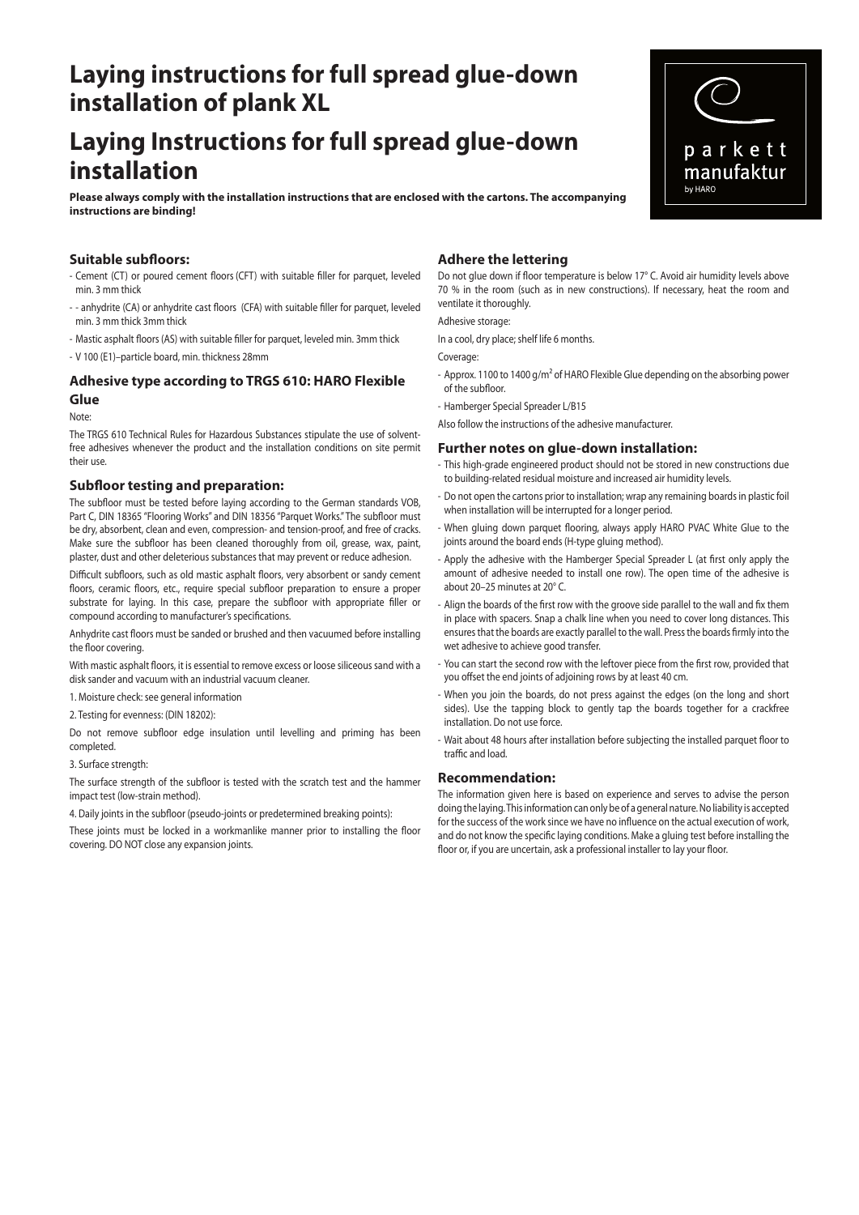# **Laying instructions for full spread glue-down installation of plank XL**

# **Laying Instructions for full spread glue-down installation**

**Please always comply with the installation instructions that are enclosed with the cartons. The accompanying instructions are binding!** 

# **Suitable subfloors:**

- Cement (CT) or poured cement floors (CFT) with suitable filler for parquet, leveled min. 3 mm thick
- - anhydrite (CA) or anhydrite cast floors (CFA) with suitable filler for parquet, leveled min. 3 mm thick 3mm thick
- Mastic asphalt floors (AS) with suitable filler for parquet, leveled min. 3mm thick
- V 100 (E1)–particle board, min. thickness 28mm

## **Adhesive type according to TRGS 610: HARO Flexible Glue**

# Note:

The TRGS 610 Technical Rules for Hazardous Substances stipulate the use of solventfree adhesives whenever the product and the installation conditions on site permit their use.

## **Subfloor testing and preparation:**

The subfloor must be tested before laying according to the German standards VOB, Part C, DIN 18365 "Flooring Works" and DIN 18356 "Parquet Works." The subfloor must be dry, absorbent, clean and even, compression- and tension-proof, and free of cracks. Make sure the subfloor has been cleaned thoroughly from oil, grease, wax, paint, plaster, dust and other deleterious substances that may prevent or reduce adhesion.

Difficult subfloors, such as old mastic asphalt floors, very absorbent or sandy cement floors, ceramic floors, etc., require special subfloor preparation to ensure a proper substrate for laying. In this case, prepare the subfloor with appropriate filler or compound according to manufacturer's specifications.

Anhydrite cast floors must be sanded or brushed and then vacuumed before installing the floor covering.

With mastic asphalt floors, it is essential to remove excess or loose siliceous sand with a disk sander and vacuum with an industrial vacuum cleaner.

- 1. Moisture check: see general information
- 2. Testing for evenness: (DIN 18202):

Do not remove subfloor edge insulation until levelling and priming has been completed.

3. Surface strength:

The surface strength of the subfloor is tested with the scratch test and the hammer impact test (low-strain method).

4. Daily joints in the subfloor (pseudo-joints or predetermined breaking points):

These joints must be locked in a workmanlike manner prior to installing the floor covering. DO NOT close any expansion joints.

## **Adhere the lettering**

Do not glue down if floor temperature is below 17° C. Avoid air humidity levels above 70 % in the room (such as in new constructions). If necessary, heat the room and ventilate it thoroughly.

#### Adhesive storage:

In a cool, dry place; shelf life 6 months.

Coverage:

- Approx. 1100 to 1400 g/m<sup>2</sup> of HARO Flexible Glue depending on the absorbing power of the subfloor.
- Hamberger Special Spreader L/B15

Also follow the instructions of the adhesive manufacturer.

## **Further notes on glue-down installation:**

- This high-grade engineered product should not be stored in new constructions due to building-related residual moisture and increased air humidity levels.
- Do not open the cartons prior to installation; wrap any remaining boards in plastic foil when installation will be interrupted for a longer period.
- When gluing down parquet flooring, always apply HARO PVAC White Glue to the joints around the board ends (H-type gluing method).
- Apply the adhesive with the Hamberger Special Spreader L (at first only apply the amount of adhesive needed to install one row). The open time of the adhesive is about 20–25 minutes at 20° C.
- Align the boards of the first row with the groove side parallel to the wall and fix them in place with spacers. Snap a chalk line when you need to cover long distances. This ensures that the boards are exactly parallel to the wall. Press the boards firmly into the wet adhesive to achieve good transfer.
- You can start the second row with the leftover piece from the first row, provided that you offset the end joints of adjoining rows by at least 40 cm.
- When you join the boards, do not press against the edges (on the long and short sides). Use the tapping block to gently tap the boards together for a crackfree installation. Do not use force.
- Wait about 48 hours after installation before subjecting the installed parquet floor to traffic and load.

#### **Recommendation:**

The information given here is based on experience and serves to advise the person doing the laying. This information can only be of a general nature. No liability is accepted for the success of the work since we have no influence on the actual execution of work, and do not know the specific laying conditions. Make a gluing test before installing the floor or, if you are uncertain, ask a professional installer to lay your floor.